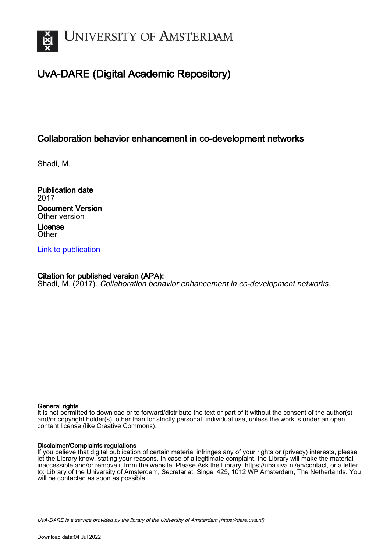

# UvA-DARE (Digital Academic Repository)

## Collaboration behavior enhancement in co-development networks

Shadi, M.

Publication date 2017 Document Version Other version License **Other** 

[Link to publication](https://dare.uva.nl/personal/pure/en/publications/collaboration-behavior-enhancement-in-codevelopment-networks(89e83407-974e-423b-b99d-d82cabb7be93).html)

### Citation for published version (APA):

Shadi, M. (2017). Collaboration behavior enhancement in co-development networks.

#### General rights

It is not permitted to download or to forward/distribute the text or part of it without the consent of the author(s) and/or copyright holder(s), other than for strictly personal, individual use, unless the work is under an open content license (like Creative Commons).

#### Disclaimer/Complaints regulations

If you believe that digital publication of certain material infringes any of your rights or (privacy) interests, please let the Library know, stating your reasons. In case of a legitimate complaint, the Library will make the material inaccessible and/or remove it from the website. Please Ask the Library: https://uba.uva.nl/en/contact, or a letter to: Library of the University of Amsterdam, Secretariat, Singel 425, 1012 WP Amsterdam, The Netherlands. You will be contacted as soon as possible.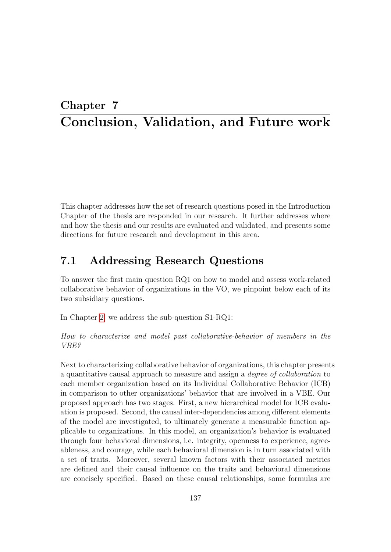## Chapter 7 Conclusion, Validation, and Future work

This chapter addresses how the set of research questions posed in the Introduction Chapter of the thesis are responded in our research. It further addresses where and how the thesis and our results are evaluated and validated, and presents some directions for future research and development in this area.

## 7.1 Addressing Research Questions

To answer the first main question RQ1 on how to model and assess work-related collaborative behavior of organizations in the VO, we pinpoint below each of its two subsidiary questions.

In Chapter 2, we address the sub-question S1-RQ1:

How to characterize and model past collaborative-behavior of members in the VBE?

Next to characterizing collaborative behavior of organizations, this chapter presents a quantitative causal approach to measure and assign a degree of collaboration to each member organization based on its Individual Collaborative Behavior (ICB) in comparison to other organizations' behavior that are involved in a VBE. Our proposed approach has two stages. First, a new hierarchical model for ICB evaluation is proposed. Second, the causal inter-dependencies among different elements of the model are investigated, to ultimately generate a measurable function applicable to organizations. In this model, an organization's behavior is evaluated through four behavioral dimensions, i.e. integrity, openness to experience, agreeableness, and courage, while each behavioral dimension is in turn associated with a set of traits. Moreover, several known factors with their associated metrics are defined and their causal influence on the traits and behavioral dimensions are concisely specified. Based on these causal relationships, some formulas are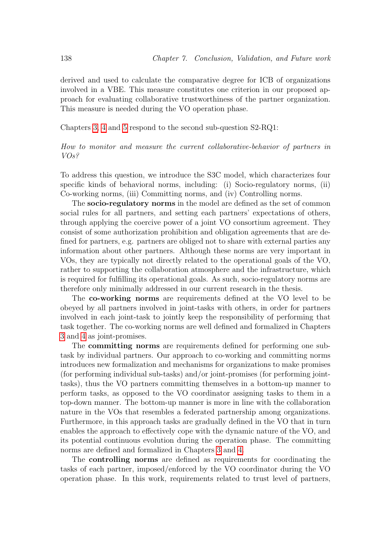derived and used to calculate the comparative degree for ICB of organizations involved in a VBE. This measure constitutes one criterion in our proposed approach for evaluating collaborative trustworthiness of the partner organization. This measure is needed during the VO operation phase.

Chapters 3, 4 and 5 respond to the second sub-question S2-RQ1:

#### How to monitor and measure the current collaborative-behavior of partners in VOs?

To address this question, we introduce the S3C model, which characterizes four specific kinds of behavioral norms, including: (i) Socio-regulatory norms, (ii) Co-working norms, (iii) Committing norms, and (iv) Controlling norms.

The socio-regulatory norms in the model are defined as the set of common social rules for all partners, and setting each partners' expectations of others, through applying the coercive power of a joint VO consortium agreement. They consist of some authorization prohibition and obligation agreements that are defined for partners, e.g. partners are obliged not to share with external parties any information about other partners. Although these norms are very important in VOs, they are typically not directly related to the operational goals of the VO, rather to supporting the collaboration atmosphere and the infrastructure, which is required for fulfilling its operational goals. As such, socio-regulatory norms are therefore only minimally addressed in our current research in the thesis.

The co-working norms are requirements defined at the VO level to be obeyed by all partners involved in joint-tasks with others, in order for partners involved in each joint-task to jointly keep the responsibility of performing that task together. The co-working norms are well defined and formalized in Chapters 3 and 4 as joint-promises.

The committing norms are requirements defined for performing one subtask by individual partners. Our approach to co-working and committing norms introduces new formalization and mechanisms for organizations to make promises (for performing individual sub-tasks) and/or joint-promises (for performing jointtasks), thus the VO partners committing themselves in a bottom-up manner to perform tasks, as opposed to the VO coordinator assigning tasks to them in a top-down manner. The bottom-up manner is more in line with the collaboration nature in the VOs that resembles a federated partnership among organizations. Furthermore, in this approach tasks are gradually defined in the VO that in turn enables the approach to effectively cope with the dynamic nature of the VO, and its potential continuous evolution during the operation phase. The committing norms are defined and formalized in Chapters 3 and 4.

The controlling norms are defined as requirements for coordinating the tasks of each partner, imposed/enforced by the VO coordinator during the VO operation phase. In this work, requirements related to trust level of partners,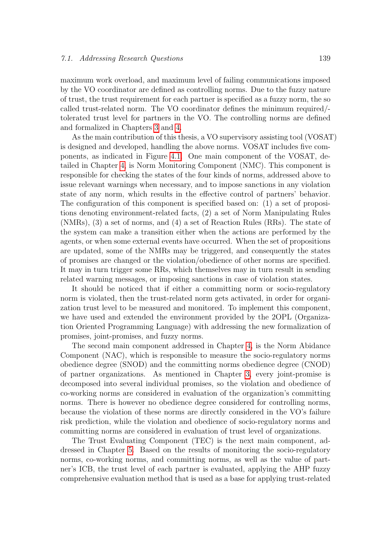maximum work overload, and maximum level of failing communications imposed by the VO coordinator are defined as controlling norms. Due to the fuzzy nature of trust, the trust requirement for each partner is specified as a fuzzy norm, the so called trust-related norm. The VO coordinator defines the minimum required/ tolerated trust level for partners in the VO. The controlling norms are defined and formalized in Chapters 3 and 4.

As the main contribution of this thesis, a VO supervisory assisting tool (VOSAT) is designed and developed, handling the above norms. VOSAT includes five components, as indicated in Figure 4.1. One main component of the VOSAT, detailed in Chapter 4, is Norm Monitoring Component (NMC). This component is responsible for checking the states of the four kinds of norms, addressed above to issue relevant warnings when necessary, and to impose sanctions in any violation state of any norm, which results in the effective control of partners' behavior. The configuration of this component is specified based on: (1) a set of propositions denoting environment-related facts, (2) a set of Norm Manipulating Rules (NMRs), (3) a set of norms, and (4) a set of Reaction Rules (RRs). The state of the system can make a transition either when the actions are performed by the agents, or when some external events have occurred. When the set of propositions are updated, some of the NMRs may be triggered, and consequently the states of promises are changed or the violation/obedience of other norms are specified. It may in turn trigger some RRs, which themselves may in turn result in sending related warning messages, or imposing sanctions in case of violation states.

It should be noticed that if either a committing norm or socio-regulatory norm is violated, then the trust-related norm gets activated, in order for organization trust level to be measured and monitored. To implement this component, we have used and extended the environment provided by the 2OPL (Organization Oriented Programming Language) with addressing the new formalization of promises, joint-promises, and fuzzy norms.

The second main component addressed in Chapter 4, is the Norm Abidance Component (NAC), which is responsible to measure the socio-regulatory norms obedience degree (SNOD) and the committing norms obedience degree (CNOD) of partner organizations. As mentioned in Chapter 3, every joint-promise is decomposed into several individual promises, so the violation and obedience of co-working norms are considered in evaluation of the organization's committing norms. There is however no obedience degree considered for controlling norms, because the violation of these norms are directly considered in the VO's failure risk prediction, while the violation and obedience of socio-regulatory norms and committing norms are considered in evaluation of trust level of organizations.

The Trust Evaluating Component (TEC) is the next main component, addressed in Chapter 5. Based on the results of monitoring the socio-regulatory norms, co-working norms, and committing norms, as well as the value of partner's ICB, the trust level of each partner is evaluated, applying the AHP fuzzy comprehensive evaluation method that is used as a base for applying trust-related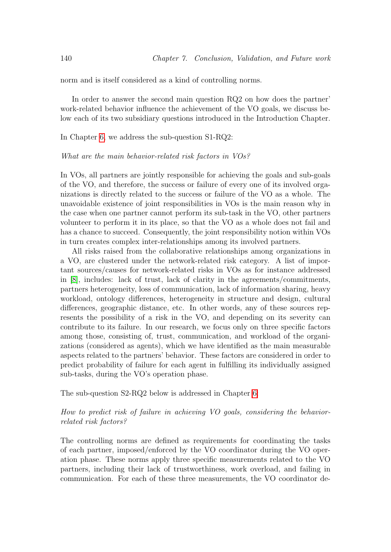norm and is itself considered as a kind of controlling norms.

In order to answer the second main question RQ2 on how does the partner' work-related behavior influence the achievement of the VO goals, we discuss below each of its two subsidiary questions introduced in the Introduction Chapter.

In Chapter 6, we address the sub-question S1-RQ2:

#### What are the main behavior-related risk factors in VOs?

In VOs, all partners are jointly responsible for achieving the goals and sub-goals of the VO, and therefore, the success or failure of every one of its involved organizations is directly related to the success or failure of the VO as a whole. The unavoidable existence of joint responsibilities in VOs is the main reason why in the case when one partner cannot perform its sub-task in the VO, other partners volunteer to perform it in its place, so that the VO as a whole does not fail and has a chance to succeed. Consequently, the joint responsibility notion within VOs in turn creates complex inter-relationships among its involved partners.

All risks raised from the collaborative relationships among organizations in a VO, are clustered under the network-related risk category. A list of important sources/causes for network-related risks in VOs as for instance addressed in [8], includes: lack of trust, lack of clarity in the agreements/commitments, partners heterogeneity, loss of communication, lack of information sharing, heavy workload, ontology differences, heterogeneity in structure and design, cultural differences, geographic distance, etc. In other words, any of these sources represents the possibility of a risk in the VO, and depending on its severity can contribute to its failure. In our research, we focus only on three specific factors among those, consisting of, trust, communication, and workload of the organizations (considered as agents), which we have identified as the main measurable aspects related to the partners' behavior. These factors are considered in order to predict probability of failure for each agent in fulfilling its individually assigned sub-tasks, during the VO's operation phase.

The sub-question S2-RQ2 below is addressed in Chapter 6:

#### How to predict risk of failure in achieving VO goals, considering the behaviorrelated risk factors?

The controlling norms are defined as requirements for coordinating the tasks of each partner, imposed/enforced by the VO coordinator during the VO operation phase. These norms apply three specific measurements related to the VO partners, including their lack of trustworthiness, work overload, and failing in communication. For each of these three measurements, the VO coordinator de-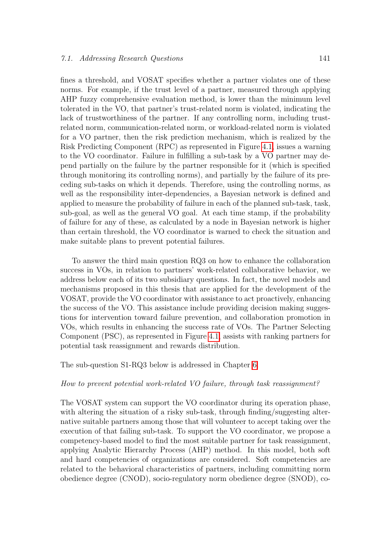fines a threshold, and VOSAT specifies whether a partner violates one of these norms. For example, if the trust level of a partner, measured through applying AHP fuzzy comprehensive evaluation method, is lower than the minimum level tolerated in the VO, that partner's trust-related norm is violated, indicating the lack of trustworthiness of the partner. If any controlling norm, including trustrelated norm, communication-related norm, or workload-related norm is violated for a VO partner, then the risk prediction mechanism, which is realized by the Risk Predicting Component (RPC) as represented in Figure 4.1, issues a warning to the VO coordinator. Failure in fulfilling a sub-task by a VO partner may depend partially on the failure by the partner responsible for it (which is specified through monitoring its controlling norms), and partially by the failure of its preceding sub-tasks on which it depends. Therefore, using the controlling norms, as well as the responsibility inter-dependencies, a Bayesian network is defined and applied to measure the probability of failure in each of the planned sub-task, task, sub-goal, as well as the general VO goal. At each time stamp, if the probability of failure for any of these, as calculated by a node in Bayesian network is higher than certain threshold, the VO coordinator is warned to check the situation and make suitable plans to prevent potential failures.

To answer the third main question RQ3 on how to enhance the collaboration success in VOs, in relation to partners' work-related collaborative behavior, we address below each of its two subsidiary questions. In fact, the novel models and mechanisms proposed in this thesis that are applied for the development of the VOSAT, provide the VO coordinator with assistance to act proactively, enhancing the success of the VO. This assistance include providing decision making suggestions for intervention toward failure prevention, and collaboration promotion in VOs, which results in enhancing the success rate of VOs. The Partner Selecting Component (PSC), as represented in Figure 4.1, assists with ranking partners for potential task reassignment and rewards distribution.

The sub-question S1-RQ3 below is addressed in Chapter 6.

#### How to prevent potential work-related VO failure, through task reassignment?

The VOSAT system can support the VO coordinator during its operation phase, with altering the situation of a risky sub-task, through finding/suggesting alternative suitable partners among those that will volunteer to accept taking over the execution of that failing sub-task. To support the VO coordinator, we propose a competency-based model to find the most suitable partner for task reassignment, applying Analytic Hierarchy Process (AHP) method. In this model, both soft and hard competencies of organizations are considered. Soft competencies are related to the behavioral characteristics of partners, including committing norm obedience degree (CNOD), socio-regulatory norm obedience degree (SNOD), co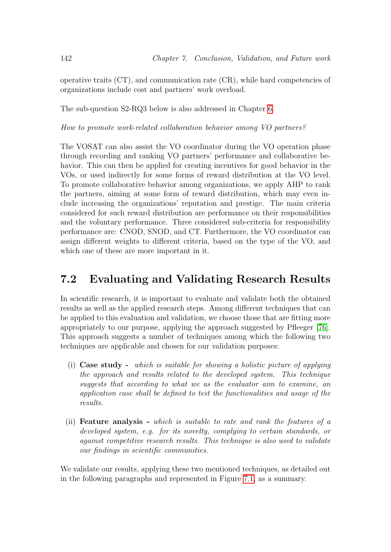operative traits  $(CT)$ , and communication rate  $(CR)$ , while hard competencies of organizations include cost and partners' work overload.

The sub-question S2-RQ3 below is also addressed in Chapter 6.

How to promote work-related collaboration behavior among VO partners?

The VOSAT can also assist the VO coordinator during the VO operation phase through recording and ranking VO partners' performance and collaborative behavior. This can then be applied for creating incentives for good behavior in the VOs, or used indirectly for some forms of reward distribution at the VO level. To promote collaborative behavior among organizations, we apply AHP to rank the partners, aiming at some form of reward distribution, which may even include increasing the organizations' reputation and prestige. The main criteria considered for such reward distribution are performance on their responsibilities and the voluntary performance. Three considered sub-criteria for responsibility performance are: CNOD, SNOD, and CT. Furthermore, the VO coordinator can assign different weights to different criteria, based on the type of the VO, and which one of these are more important in it.

## 7.2 Evaluating and Validating Research Results

In scientific research, it is important to evaluate and validate both the obtained results as well as the applied research steps. Among different techniques that can be applied to this evaluation and validation, we choose those that are fitting more appropriately to our purpose, applying the approach suggested by Pfleeger [76]. This approach suggests a number of techniques among which the following two techniques are applicable and chosen for our validation purposes:

- (i) Case study which is suitable for showing a holistic picture of applying the approach and results related to the developed system. This technique suggests that according to what we as the evaluator aim to examine, an application case shall be defined to test the functionalities and usage of the results.
- (ii) Feature analysis which is suitable to rate and rank the features of a developed system, e.g. for its novelty, complying to certain standards, or against competitive research results. This technique is also used to validate our findings in scientific communities.

We validate our results, applying these two mentioned techniques, as detailed out in the following paragraphs and represented in Figure 7.1, as a summary.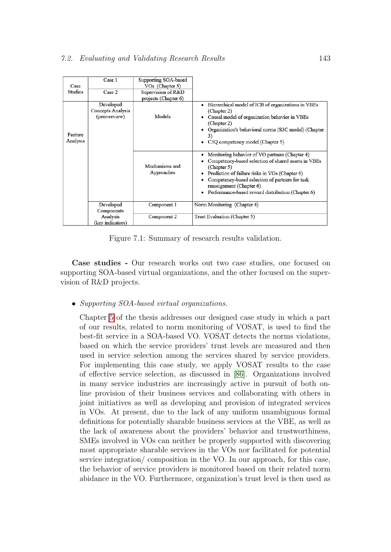| Case<br>Studies     | Case 1<br>Case 2                                | Supporting SOA-based<br>VO <sub>s</sub> (Chapter 5)<br>Supervision of R&D<br>projects (Chapter 6) |                                                                                                                                                                                                                                                                                                                      |
|---------------------|-------------------------------------------------|---------------------------------------------------------------------------------------------------|----------------------------------------------------------------------------------------------------------------------------------------------------------------------------------------------------------------------------------------------------------------------------------------------------------------------|
| Feature<br>Analysis | Developed<br>Concepts Analysis<br>(peer-review) | Models                                                                                            | Hierarchical model of ICB of organizations in VBEs<br>٠<br>(Chapter 2)<br>Causal model of organization behavior in VBEs<br>٠<br>(Chapter 2)<br>Organization's behavioral norms (S3C model) (Chapter<br>3)<br>C3Q competency model (Chapter 5)<br>٠                                                                   |
|                     |                                                 | Mechanisms and<br>Approaches                                                                      | Monitoring behavior of VO partners (Chapter 4)<br>Competency-based selection of shared assets in VBEs<br>(Chapter 5)<br>Prediction of failure risks in VOs (Chapter 6)<br>٠<br>Competency-based selection of partners for task<br>reassignment (Chapter 6)<br>Performance-based reward distribution (Chapter 6)<br>٠ |
|                     | Developed<br>Components                         | Component 1                                                                                       | Norm Monitoring (Chapter 4)                                                                                                                                                                                                                                                                                          |
|                     | Analysis<br>(key indicators)                    | Component 2                                                                                       | Trust Evaluation (Chapter 5)                                                                                                                                                                                                                                                                                         |

Figure 7.1: Summary of research results validation.

Case studies - Our research works out two case studies, one focused on supporting SOA-based virtual organizations, and the other focused on the supervision of R&D projects.

• Supporting SOA-based virtual organizations.

Chapter 5 of the thesis addresses our designed case study in which a part of our results, related to norm monitoring of VOSAT, is used to find the best-fit service in a SOA-based VO. VOSAT detects the norms violations, based on which the service providers' trust levels are measured and then used in service selection among the services shared by service providers. For implementing this case study, we apply VOSAT results to the case of effective service selection, as discussed in [86]. Organizations involved in many service industries are increasingly active in pursuit of both online provision of their business services and collaborating with others in joint initiatives as well as developing and provision of integrated services in VOs. At present, due to the lack of any uniform unambiguous formal definitions for potentially sharable business services at the VBE, as well as the lack of awareness about the providers' behavior and trustworthiness, SMEs involved in VOs can neither be properly supported with discovering most appropriate sharable services in the VOs nor facilitated for potential service integration/ composition in the VO. In our approach, for this case, the behavior of service providers is monitored based on their related norm abidance in the VO. Furthermore, organization's trust level is then used as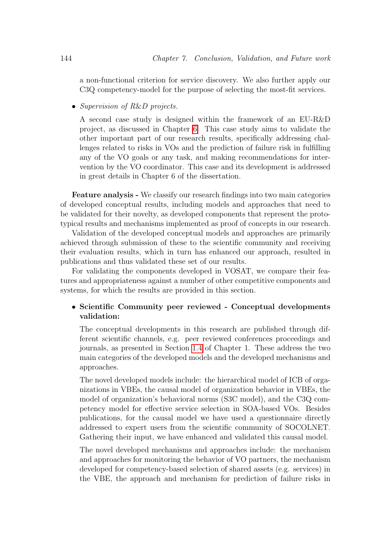a non-functional criterion for service discovery. We also further apply our C3Q competency-model for the purpose of selecting the most-fit services.

• Supervision of R&D projects.

A second case study is designed within the framework of an EU-R&D project, as discussed in Chapter 6. This case study aims to validate the other important part of our research results, specifically addressing challenges related to risks in VOs and the prediction of failure risk in fulfilling any of the VO goals or any task, and making recommendations for intervention by the VO coordinator. This case and its development is addressed in great details in Chapter 6 of the dissertation.

Feature analysis - We classify our research findings into two main categories of developed conceptual results, including models and approaches that need to be validated for their novelty, as developed components that represent the prototypical results and mechanisms implemented as proof of concepts in our research.

Validation of the developed conceptual models and approaches are primarily achieved through submission of these to the scientific community and receiving their evaluation results, which in turn has enhanced our approach, resulted in publications and thus validated these set of our results.

For validating the components developed in VOSAT, we compare their features and appropriateness against a number of other competitive components and systems, for which the results are provided in this section.

#### • Scientific Community peer reviewed - Conceptual developments validation:

The conceptual developments in this research are published through different scientific channels, e.g. peer reviewed conferences proceedings and journals, as presented in Section 1.4 of Chapter 1. These address the two main categories of the developed models and the developed mechanisms and approaches.

The novel developed models include: the hierarchical model of ICB of organizations in VBEs, the causal model of organization behavior in VBEs, the model of organization's behavioral norms (S3C model), and the C3Q competency model for effective service selection in SOA-based VOs. Besides publications, for the causal model we have used a questionnaire directly addressed to expert users from the scientific community of SOCOLNET. Gathering their input, we have enhanced and validated this causal model.

The novel developed mechanisms and approaches include: the mechanism and approaches for monitoring the behavior of VO partners, the mechanism developed for competency-based selection of shared assets (e.g. services) in the VBE, the approach and mechanism for prediction of failure risks in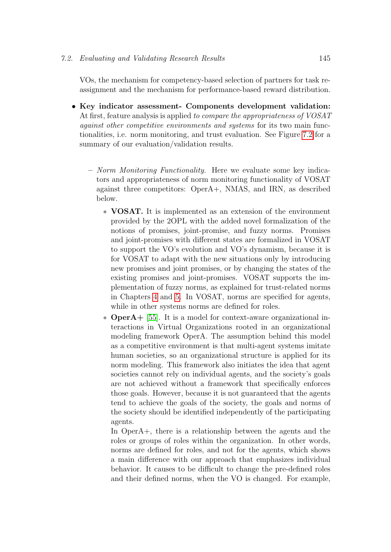VOs, the mechanism for competency-based selection of partners for task reassignment and the mechanism for performance-based reward distribution.

- Key indicator assessment- Components development validation: At first, feature analysis is applied to compare the appropriateness of VOSAT against other competitive environments and systems for its two main functionalities, i.e. norm monitoring, and trust evaluation. See Figure 7.2 for a summary of our evaluation/validation results.
	- Norm Monitoring Functionality. Here we evaluate some key indicators and appropriateness of norm monitoring functionality of VOSAT against three competitors: OperA+, NMAS, and IRN, as described below.
		- ∗ VOSAT. It is implemented as an extension of the environment provided by the 2OPL with the added novel formalization of the notions of promises, joint-promise, and fuzzy norms. Promises and joint-promises with different states are formalized in VOSAT to support the VO's evolution and VO's dynamism, because it is for VOSAT to adapt with the new situations only by introducing new promises and joint promises, or by changing the states of the existing promises and joint-promises. VOSAT supports the implementation of fuzzy norms, as explained for trust-related norms in Chapters 4 and 5. In VOSAT, norms are specified for agents, while in other systems norms are defined for roles.
		- ∗ OperA+ [55]. It is a model for context-aware organizational interactions in Virtual Organizations rooted in an organizational modeling framework OperA. The assumption behind this model as a competitive environment is that multi-agent systems imitate human societies, so an organizational structure is applied for its norm modeling. This framework also initiates the idea that agent societies cannot rely on individual agents, and the society's goals are not achieved without a framework that specifically enforces those goals. However, because it is not guaranteed that the agents tend to achieve the goals of the society, the goals and norms of the society should be identified independently of the participating agents.

In OperA+, there is a relationship between the agents and the roles or groups of roles within the organization. In other words, norms are defined for roles, and not for the agents, which shows a main difference with our approach that emphasizes individual behavior. It causes to be difficult to change the pre-defined roles and their defined norms, when the VO is changed. For example,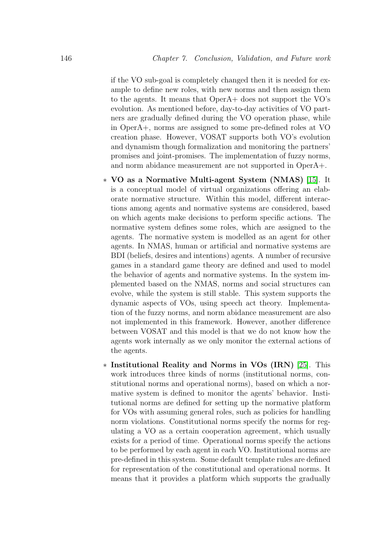if the VO sub-goal is completely changed then it is needed for example to define new roles, with new norms and then assign them to the agents. It means that OperA+ does not support the VO's evolution. As mentioned before, day-to-day activities of VO partners are gradually defined during the VO operation phase, while in OperA+, norms are assigned to some pre-defined roles at VO creation phase. However, VOSAT supports both VO's evolution and dynamism though formalization and monitoring the partners' promises and joint-promises. The implementation of fuzzy norms, and norm abidance measurement are not supported in OperA+.

- ∗ VO as a Normative Multi-agent System (NMAS) [15]. It is a conceptual model of virtual organizations offering an elaborate normative structure. Within this model, different interactions among agents and normative systems are considered, based on which agents make decisions to perform specific actions. The normative system defines some roles, which are assigned to the agents. The normative system is modelled as an agent for other agents. In NMAS, human or artificial and normative systems are BDI (beliefs, desires and intentions) agents. A number of recursive games in a standard game theory are defined and used to model the behavior of agents and normative systems. In the system implemented based on the NMAS, norms and social structures can evolve, while the system is still stable. This system supports the dynamic aspects of VOs, using speech act theory. Implementation of the fuzzy norms, and norm abidance measurement are also not implemented in this framework. However, another difference between VOSAT and this model is that we do not know how the agents work internally as we only monitor the external actions of the agents.
- ∗ Institutional Reality and Norms in VOs (IRN) [25]. This work introduces three kinds of norms (institutional norms, constitutional norms and operational norms), based on which a normative system is defined to monitor the agents' behavior. Institutional norms are defined for setting up the normative platform for VOs with assuming general roles, such as policies for handling norm violations. Constitutional norms specify the norms for regulating a VO as a certain cooperation agreement, which usually exists for a period of time. Operational norms specify the actions to be performed by each agent in each VO. Institutional norms are pre-defined in this system. Some default template rules are defined for representation of the constitutional and operational norms. It means that it provides a platform which supports the gradually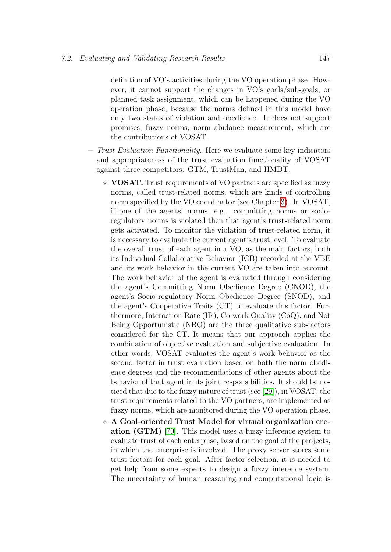definition of VO's activities during the VO operation phase. However, it cannot support the changes in VO's goals/sub-goals, or planned task assignment, which can be happened during the VO operation phase, because the norms defined in this model have only two states of violation and obedience. It does not support promises, fuzzy norms, norm abidance measurement, which are the contributions of VOSAT.

- Trust Evaluation Functionality. Here we evaluate some key indicators and appropriateness of the trust evaluation functionality of VOSAT against three competitors: GTM, TrustMan, and HMDT.
	- ∗ VOSAT. Trust requirements of VO partners are specified as fuzzy norms, called trust-related norms, which are kinds of controlling norm specified by the VO coordinator (see Chapter 3). In VOSAT, if one of the agents' norms, e.g. committing norms or socioregulatory norms is violated then that agent's trust-related norm gets activated. To monitor the violation of trust-related norm, it is necessary to evaluate the current agent's trust level. To evaluate the overall trust of each agent in a VO, as the main factors, both its Individual Collaborative Behavior (ICB) recorded at the VBE and its work behavior in the current VO are taken into account. The work behavior of the agent is evaluated through considering the agent's Committing Norm Obedience Degree (CNOD), the agent's Socio-regulatory Norm Obedience Degree (SNOD), and the agent's Cooperative Traits (CT) to evaluate this factor. Furthermore, Interaction Rate (IR), Co-work Quality (CoQ), and Not Being Opportunistic (NBO) are the three qualitative sub-factors considered for the CT. It means that our approach applies the combination of objective evaluation and subjective evaluation. In other words, VOSAT evaluates the agent's work behavior as the second factor in trust evaluation based on both the norm obedience degrees and the recommendations of other agents about the behavior of that agent in its joint responsibilities. It should be noticed that due to the fuzzy nature of trust (see [29]), in VOSAT, the trust requirements related to the VO partners, are implemented as fuzzy norms, which are monitored during the VO operation phase.
	- ∗ A Goal-oriented Trust Model for virtual organization creation (GTM) [70]. This model uses a fuzzy inference system to evaluate trust of each enterprise, based on the goal of the projects, in which the enterprise is involved. The proxy server stores some trust factors for each goal. After factor selection, it is needed to get help from some experts to design a fuzzy inference system. The uncertainty of human reasoning and computational logic is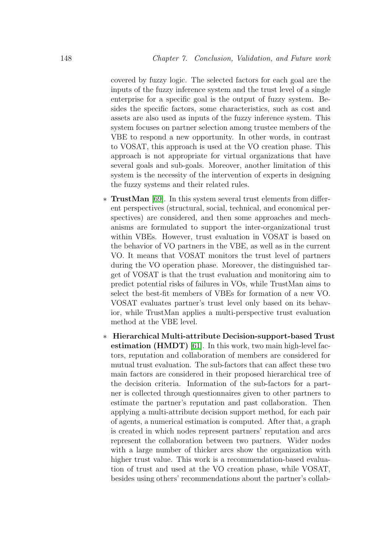covered by fuzzy logic. The selected factors for each goal are the inputs of the fuzzy inference system and the trust level of a single enterprise for a specific goal is the output of fuzzy system. Besides the specific factors, some characteristics, such as cost and assets are also used as inputs of the fuzzy inference system. This system focuses on partner selection among trustee members of the VBE to respond a new opportunity. In other words, in contrast to VOSAT, this approach is used at the VO creation phase. This approach is not appropriate for virtual organizations that have several goals and sub-goals. Moreover, another limitation of this system is the necessity of the intervention of experts in designing the fuzzy systems and their related rules.

- ∗ TrustMan [69]. In this system several trust elements from different perspectives (structural, social, technical, and economical perspectives) are considered, and then some approaches and mechanisms are formulated to support the inter-organizational trust within VBEs. However, trust evaluation in VOSAT is based on the behavior of VO partners in the VBE, as well as in the current VO. It means that VOSAT monitors the trust level of partners during the VO operation phase. Moreover, the distinguished target of VOSAT is that the trust evaluation and monitoring aim to predict potential risks of failures in VOs, while TrustMan aims to select the best-fit members of VBEs for formation of a new VO. VOSAT evaluates partner's trust level only based on its behavior, while TrustMan applies a multi-perspective trust evaluation method at the VBE level.
- ∗ Hierarchical Multi-attribute Decision-support-based Trust estimation (HMDT) [61]. In this work, two main high-level factors, reputation and collaboration of members are considered for mutual trust evaluation. The sub-factors that can affect these two main factors are considered in their proposed hierarchical tree of the decision criteria. Information of the sub-factors for a partner is collected through questionnaires given to other partners to estimate the partner's reputation and past collaboration. Then applying a multi-attribute decision support method, for each pair of agents, a numerical estimation is computed. After that, a graph is created in which nodes represent partners' reputation and arcs represent the collaboration between two partners. Wider nodes with a large number of thicker arcs show the organization with higher trust value. This work is a recommendation-based evaluation of trust and used at the VO creation phase, while VOSAT, besides using others' recommendations about the partner's collab-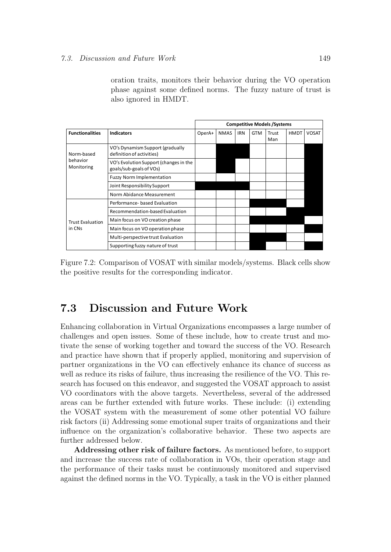oration traits, monitors their behavior during the VO operation phase against some defined norms. The fuzzy nature of trust is also ignored in HMDT.

|                         |                                                                   | <b>Competitive Models /Systems</b> |             |            |            |              |             |              |  |
|-------------------------|-------------------------------------------------------------------|------------------------------------|-------------|------------|------------|--------------|-------------|--------------|--|
| <b>Functionalities</b>  | <b>Indicators</b>                                                 | OperA+                             | <b>NMAS</b> | <b>IRN</b> | <b>GTM</b> | Trust<br>Man | <b>HMDT</b> | <b>VOSAT</b> |  |
| Norm-based              | VO's Dynamism Support (gradually<br>definition of activities)     |                                    |             |            |            |              |             |              |  |
| behavior<br>Monitoring  | VO's Evolution Support (changes in the<br>goals/sub-goals of VOs) |                                    |             |            |            |              |             |              |  |
|                         | <b>Fuzzy Norm Implementation</b>                                  |                                    |             |            |            |              |             |              |  |
|                         | Joint Responsibility Support                                      |                                    |             |            |            |              |             |              |  |
|                         | Norm Abidance Measurement                                         |                                    |             |            |            |              |             |              |  |
|                         | Performance- based Evaluation                                     |                                    |             |            |            |              |             |              |  |
|                         | Recommendation-based Evaluation                                   |                                    |             |            |            |              |             |              |  |
| <b>Trust Evaluation</b> | Main focus on VO creation phase                                   |                                    |             |            |            |              |             |              |  |
| in CNs                  | Main focus on VO operation phase                                  |                                    |             |            |            |              |             |              |  |
|                         | Multi-perspective trust Evaluation                                |                                    |             |            |            |              |             |              |  |
|                         | Supporting fuzzy nature of trust                                  |                                    |             |            |            |              |             |              |  |

Figure 7.2: Comparison of VOSAT with similar models/systems. Black cells show the positive results for the corresponding indicator.

### 7.3 Discussion and Future Work

Enhancing collaboration in Virtual Organizations encompasses a large number of challenges and open issues. Some of these include, how to create trust and motivate the sense of working together and toward the success of the VO. Research and practice have shown that if properly applied, monitoring and supervision of partner organizations in the VO can effectively enhance its chance of success as well as reduce its risks of failure, thus increasing the resilience of the VO. This research has focused on this endeavor, and suggested the VOSAT approach to assist VO coordinators with the above targets. Nevertheless, several of the addressed areas can be further extended with future works. These include: (i) extending the VOSAT system with the measurement of some other potential VO failure risk factors (ii) Addressing some emotional super traits of organizations and their influence on the organization's collaborative behavior. These two aspects are further addressed below.

Addressing other risk of failure factors. As mentioned before, to support and increase the success rate of collaboration in VOs, their operation stage and the performance of their tasks must be continuously monitored and supervised against the defined norms in the VO. Typically, a task in the VO is either planned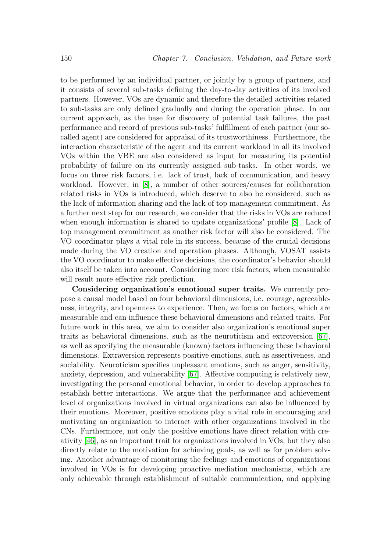to be performed by an individual partner, or jointly by a group of partners, and it consists of several sub-tasks defining the day-to-day activities of its involved partners. However, VOs are dynamic and therefore the detailed activities related to sub-tasks are only defined gradually and during the operation phase. In our current approach, as the base for discovery of potential task failures, the past performance and record of previous sub-tasks' fulfillment of each partner (our socalled agent) are considered for appraisal of its trustworthiness. Furthermore, the interaction characteristic of the agent and its current workload in all its involved VOs within the VBE are also considered as input for measuring its potential probability of failure on its currently assigned sub-tasks. In other words, we focus on three risk factors, i.e. lack of trust, lack of communication, and heavy workload. However, in [8], a number of other sources/causes for collaboration related risks in VOs is introduced, which deserve to also be considered, such as the lack of information sharing and the lack of top management commitment. As a further next step for our research, we consider that the risks in VOs are reduced when enough information is shared to update organizations' profile [8]. Lack of top management commitment as another risk factor will also be considered. The VO coordinator plays a vital role in its success, because of the crucial decisions made during the VO creation and operation phases. Although, VOSAT assists the VO coordinator to make effective decisions, the coordinator's behavior should also itself be taken into account. Considering more risk factors, when measurable will result more effective risk prediction.

Considering organization's emotional super traits. We currently propose a causal model based on four behavioral dimensions, i.e. courage, agreeableness, integrity, and openness to experience. Then, we focus on factors, which are measurable and can influence these behavioral dimensions and related traits. For future work in this area, we aim to consider also organization's emotional super traits as behavioral dimensions, such as the neuroticism and extroversion [67], as well as specifying the measurable (known) factors influencing these behavioral dimensions. Extraversion represents positive emotions, such as assertiveness, and sociability. Neuroticism specifies unpleasant emotions, such as anger, sensitivity, anxiety, depression, and vulnerability [67]. Affective computing is relatively new, investigating the personal emotional behavior, in order to develop approaches to establish better interactions. We argue that the performance and achievement level of organizations involved in virtual organizations can also be influenced by their emotions. Moreover, positive emotions play a vital role in encouraging and motivating an organization to interact with other organizations involved in the CNs. Furthermore, not only the positive emotions have direct relation with creativity [46], as an important trait for organizations involved in VOs, but they also directly relate to the motivation for achieving goals, as well as for problem solving. Another advantage of monitoring the feelings and emotions of organizations involved in VOs is for developing proactive mediation mechanisms, which are only achievable through establishment of suitable communication, and applying